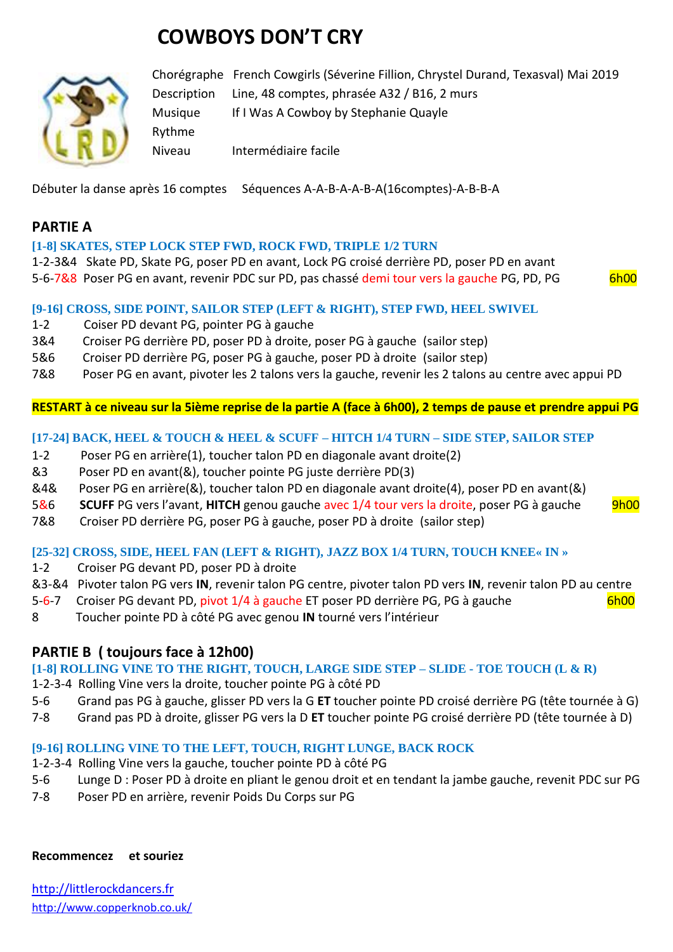# **COWBOYS DON'T CRY**



Chorégraphe French Cowgirls (Séverine Fillion, Chrystel Durand, Texasval) Mai 2019 Description Line, 48 comptes, phrasée A32 / B16, 2 murs Musique If I Was A Cowboy by Stephanie Quayle Rythme Niveau Intermédiaire facile

Débuter la danse après 16 comptes Séquences A-A-B-A-A-B-A(16comptes)-A-B-B-A

## **PARTIE A**

#### **[1-8] SKATES, STEP LOCK STEP FWD, ROCK FWD, TRIPLE 1/2 TURN**

1-2-3&4 Skate PD, Skate PG, poser PD en avant, Lock PG croisé derrière PD, poser PD en avant 5-6-7&8 Poser PG en avant, revenir PDC sur PD, pas chassé demi tour vers la gauche PG, PD, PG 6h00

#### **[9-16] CROSS, SIDE POINT, SAILOR STEP (LEFT & RIGHT), STEP FWD, HEEL SWIVEL**

- 1-2 Coiser PD devant PG, pointer PG à gauche
- 3&4 Croiser PG derrière PD, poser PD à droite, poser PG à gauche (sailor step)
- 5&6 Croiser PD derrière PG, poser PG à gauche, poser PD à droite (sailor step)
- 7&8 Poser PG en avant, pivoter les 2 talons vers la gauche, revenir les 2 talons au centre avec appui PD

**RESTART à ce niveau sur la 5ième reprise de la partie A (face à 6h00), 2 temps de pause et prendre appui PG**

#### **[17-24] BACK, HEEL & TOUCH & HEEL & SCUFF – HITCH 1/4 TURN – SIDE STEP, SAILOR STEP**

- 1-2 Poser PG en arrière(1), toucher talon PD en diagonale avant droite(2)
- &3 Poser PD en avant(&), toucher pointe PG juste derrière PD(3)
- &4& Poser PG en arrière(&), toucher talon PD en diagonale avant droite(4), poser PD en avant(&)
- 5&6 **SCUFF** PG vers l'avant, **HITCH** genou gauche avec 1/4 tour vers la droite, poser PG à gauche 9h00
- 7&8 Croiser PD derrière PG, poser PG à gauche, poser PD à droite (sailor step)

#### **[25-32] CROSS, SIDE, HEEL FAN (LEFT & RIGHT), JAZZ BOX 1/4 TURN, TOUCH KNEE« IN »**

- 1-2 Croiser PG devant PD, poser PD à droite
- &3-&4 Pivoter talon PG vers **IN**, revenir talon PG centre, pivoter talon PD vers **IN**, revenir talon PD au centre
- 5-6-7 Croiser PG devant PD, pivot 1/4 à gauche ET poser PD derrière PG, PG à gauche 6h00
- 8 Toucher pointe PD à côté PG avec genou **IN** tourné vers l'intérieur

## **PARTIE B ( toujours face à 12h00)**

**[1-8] ROLLING VINE TO THE RIGHT, TOUCH, LARGE SIDE STEP – SLIDE - TOE TOUCH (L & R)**

- 1-2-3-4 Rolling Vine vers la droite, toucher pointe PG à côté PD
- 5-6 Grand pas PG à gauche, glisser PD vers la G **ET** toucher pointe PD croisé derrière PG (tête tournée à G)
- 7-8 Grand pas PD à droite, glisser PG vers la D **ET** toucher pointe PG croisé derrière PD (tête tournée à D)

#### **[9-16] ROLLING VINE TO THE LEFT, TOUCH, RIGHT LUNGE, BACK ROCK**

- 1-2-3-4 Rolling Vine vers la gauche, toucher pointe PD à côté PG
- 5-6 Lunge D : Poser PD à droite en pliant le genou droit et en tendant la jambe gauche, revenit PDC sur PG
- 7-8 Poser PD en arrière, revenir Poids Du Corps sur PG

#### **Recommencez et souriez**

[http://littlerockdancers.fr](http://littlerockdancers.fr/)  [http://www.copperknob.co.uk/](https://www.copperknob.co.uk/)